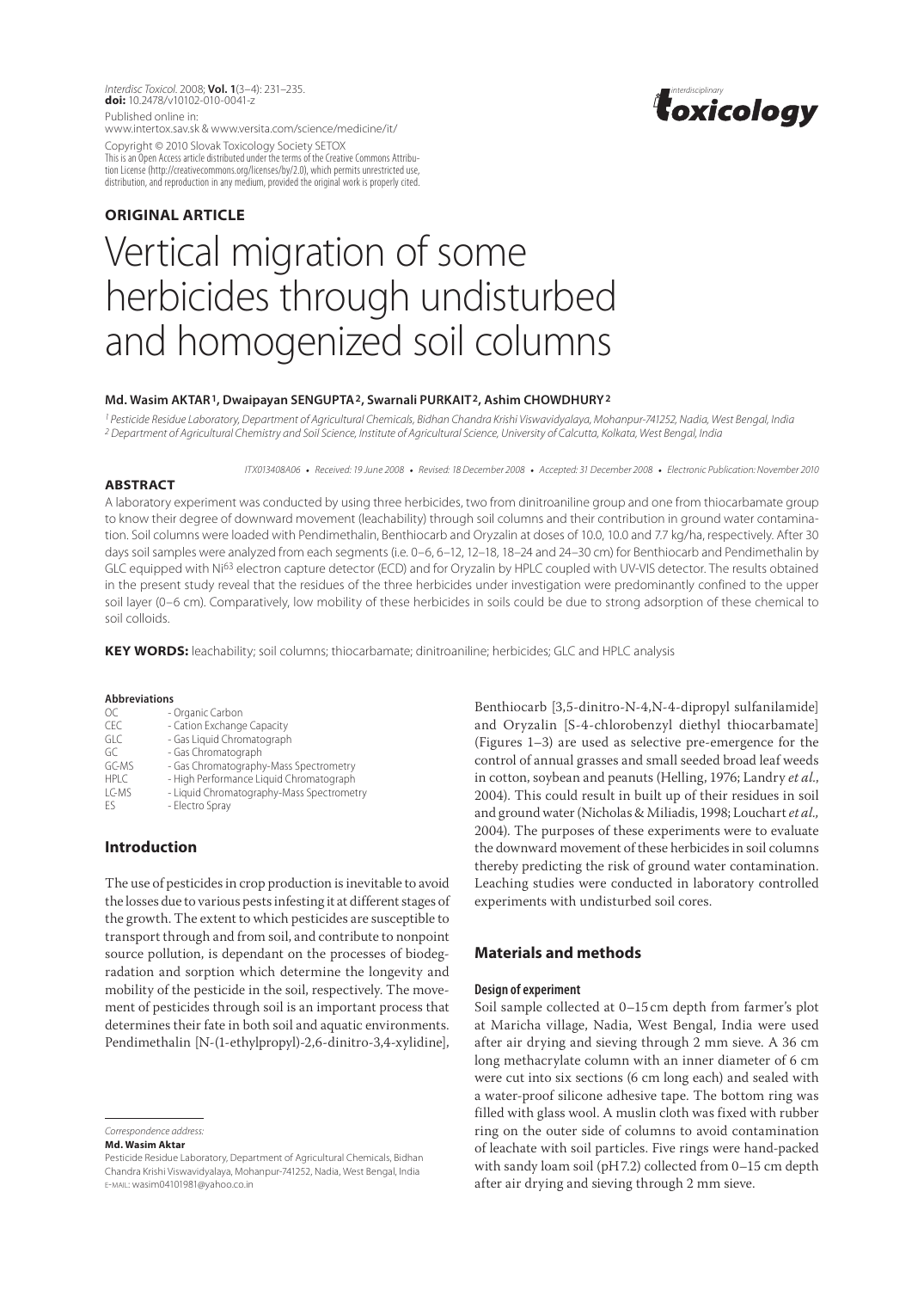*Interdisc Toxicol*. 2008; **Vol. 1**(3–4): 231–235. *interdisciplinary* **doi:** 10.2478/v10102-010-0041-z Published online in:

www.intertox.sav.sk & www.versita.com/science/medicine/it/

Copyright © 2010 Slovak Toxicology Society SETOX This is an Open Access article distributed under the terms of the Creative Commons Attribution License (http://creativecommons.org/licenses/by/2.0), which permits unrestricted use, distribution, and reproduction in any medium, provided the original work is properly cited.



# **ORIGINAL article** Vertical migration of some herbicides through undisturbed and homogenized soil columns

#### **Md. Wasim Aktar1, Dwaipayan Sengupta2, Swarnali Purkait2, Ashim Chowdhury2**

*1 Pesticide Residue Laboratory, Department of Agricultural Chemicals, Bidhan Chandra Krishi Viswavidyalaya, Mohanpur-741252, Nadia, West Bengal, India 2 Department of Agricultural Chemistry and Soil Science, Institute of Agricultural Science, University of Calcutta, Kolkata, West Bengal, India*

*ITX013408A06* • *Received: 19 June 2008* • *Revised: 18 December 2008* • *Accepted: 31 December 2008* • *Electronic Publication: November 2010*

#### **ABSTRACT**

A laboratory experiment was conducted by using three herbicides, two from dinitroaniline group and one from thiocarbamate group to know their degree of downward movement (leachability) through soil columns and their contribution in ground water contamination. Soil columns were loaded with Pendimethalin, Benthiocarb and Oryzalin at doses of 10.0, 10.0 and 7.7 kg/ha, respectively. After 30 days soil samples were analyzed from each segments (i.e. 0–6, 6–12, 12–18, 18–24 and 24–30 cm) for Benthiocarb and Pendimethalin by GLC equipped with Ni<sup>63</sup> electron capture detector (ECD) and for Oryzalin by HPLC coupled with UV-VIS detector. The results obtained in the present study reveal that the residues of the three herbicides under investigation were predominantly confined to the upper soil layer (0–6 cm). Comparatively, low mobility of these herbicides in soils could be due to strong adsorption of these chemical to soil colloids.

KEY WORDS: leachability; soil columns; thiocarbamate; dinitroaniline; herbicides; GLC and HPLC analysis

#### **Abbreviations**

| ОC          | - Organic Carbon                          |
|-------------|-------------------------------------------|
| CEC         | - Cation Exchange Capacity                |
| GLC         | - Gas Liquid Chromatograph                |
| GC          | - Gas Chromatograph                       |
| GC-MS       | - Gas Chromatography-Mass Spectrometry    |
| <b>HPLC</b> | - High Performance Liquid Chromatograph   |
| LC-MS       | - Liquid Chromatography-Mass Spectrometry |
| Fς          | - Electro Spray                           |
|             |                                           |

# **Introduction**

The use of pesticides in crop production is inevitable to avoid the losses due to various pests infesting it at different stages of the growth. The extent to which pesticides are susceptible to transport through and from soil, and contribute to nonpoint source pollution, is dependant on the processes of biodegradation and sorption which determine the longevity and mobility of the pesticide in the soil, respectively. The movement of pesticides through soil is an important process that determines their fate in both soil and aquatic environments. Pendimethalin [N-(1-ethylpropyl)-2,6-dinitro-3,4-xylidine],

*Correspondence address:* 

**Md. Wasim Aktar**

Benthiocarb [3,5-dinitro-N-4,N-4-dipropyl sulfanilamide] and Oryzalin [S-4-chlorobenzyl diethyl thiocarbamate] (Figures 1–3) are used as selective pre-emergence for the control of annual grasses and small seeded broad leaf weeds in cotton, soybean and peanuts (Helling, 1976; Landry *et al.*, 2004). This could result in built up of their residues in soil and ground water (Nicholas & Miliadis, 1998; Louchart *et al.,*  2004). The purposes of these experiments were to evaluate the downward movement of these herbicides in soil columns thereby predicting the risk of ground water contamination. Leaching studies were conducted in laboratory controlled experiments with undisturbed soil cores.

# **Materials and methods**

#### **Design of experiment**

Soil sample collected at 0–15 cm depth from farmer's plot at Maricha village, Nadia, West Bengal, India were used after air drying and sieving through 2 mm sieve. A 36 cm long methacrylate column with an inner diameter of 6 cm were cut into six sections (6 cm long each) and sealed with a water-proof silicone adhesive tape. The bottom ring was filled with glass wool. A muslin cloth was fixed with rubber ring on the outer side of columns to avoid contamination of leachate with soil particles. Five rings were hand-packed with sandy loam soil (pH7.2) collected from 0–15 cm depth after air drying and sieving through 2 mm sieve.

Pesticide Residue Laboratory, Department of Agricultural Chemicals, Bidhan Chandra Krishi Viswavidyalaya, Mohanpur-741252, Nadia, West Bengal, India e-mail: wasim04101981@yahoo.co.in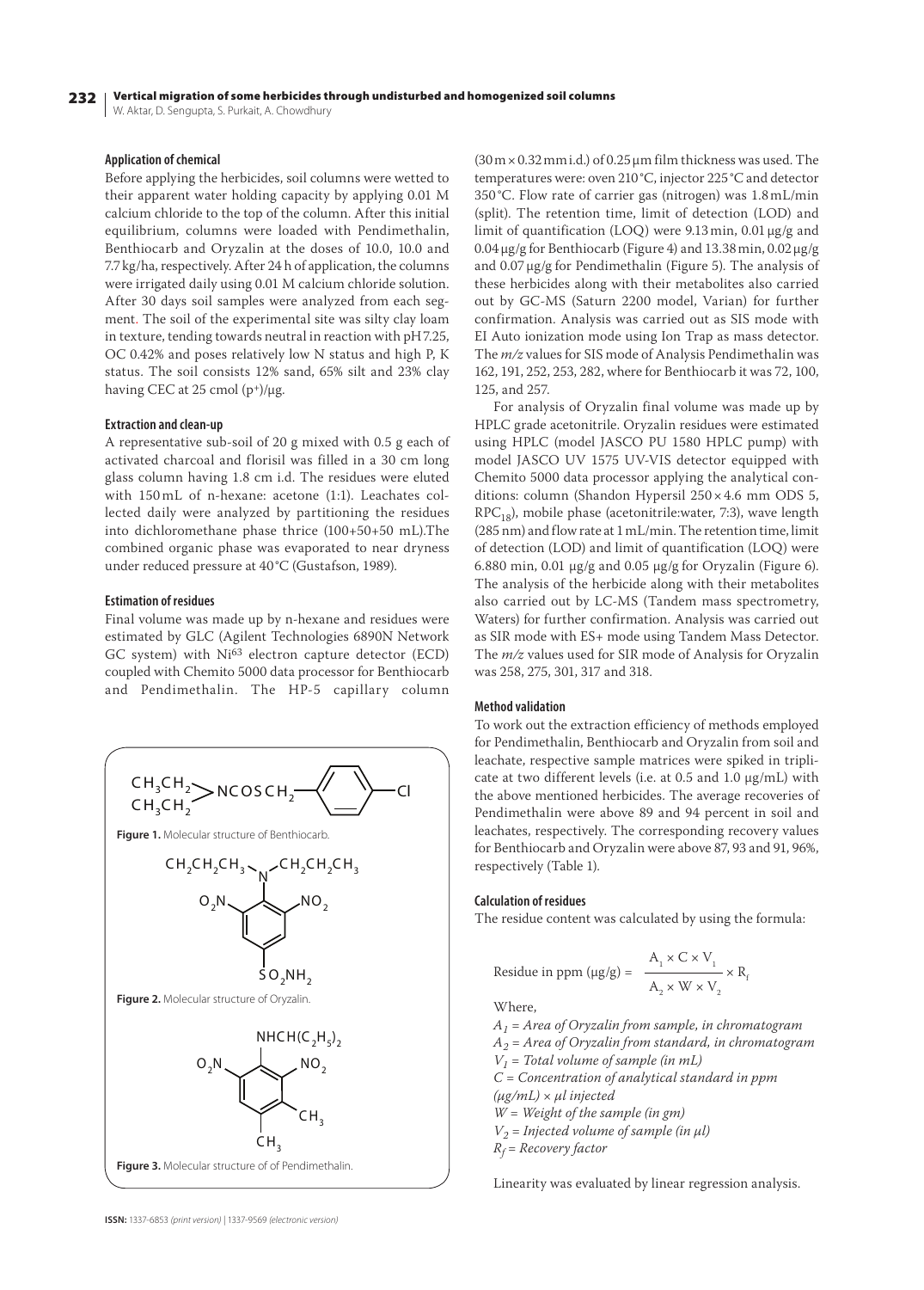#### 232 Vertical migration of some herbicides through undisturbed and homogenized soil columns

W. Aktar, D. Sengupta, S. Purkait, A. Chowdhury

## **Application of chemical**

Before applying the herbicides, soil columns were wetted to their apparent water holding capacity by applying 0.01 M calcium chloride to the top of the column. After this initial equilibrium, columns were loaded with Pendimethalin, Benthiocarb and Oryzalin at the doses of 10.0, 10.0 and 7.7kg/ha, respectively. After 24 h of application, the columns were irrigated daily using 0.01 M calcium chloride solution. After 30 days soil samples were analyzed from each segment. The soil of the experimental site was silty clay loam in texture, tending towards neutral in reaction with pH7.25, OC 0.42% and poses relatively low N status and high P, K status. The soil consists 12% sand, 65% silt and 23% clay having CEC at 25 cmol  $(p^+)/\mu$ g.

#### **Extraction and clean-up**

A representative sub-soil of 20 g mixed with 0.5 g each of activated charcoal and florisil was filled in a 30 cm long glass column having 1.8 cm i.d. The residues were eluted with 150 mL of n-hexane: acetone (1:1). Leachates collected daily were analyzed by partitioning the residues into dichloromethane phase thrice (100+50+50 mL).The combined organic phase was evaporated to near dryness under reduced pressure at 40°C (Gustafson, 1989).

#### **Estimation of residues**

Final volume was made up by n-hexane and residues were estimated by GLC (Agilent Technologies 6890N Network GC system) with Ni63 electron capture detector (ECD) coupled with Chemito 5000 data processor for Benthiocarb and Pendimethalin. The HP-5 capillary column



 $(30 \text{ m} \times 0.32 \text{ mm} \text{ i.d.})$  of 0.25  $\mu$ m film thickness was used. The temperatures were: oven 210 °C, injector 225°C and detector 350 °C. Flow rate of carrier gas (nitrogen) was 1.8mL/min (split). The retention time, limit of detection (LOD) and limit of quantification (LOQ) were 9.13 min, 0.01 µg/g and  $0.04 \,\mu$ g/g for Benthiocarb (Figure 4) and 13.38 min,  $0.02 \,\mu$ g/g and 0.07µg/g for Pendimethalin (Figure 5). The analysis of these herbicides along with their metabolites also carried out by GC-MS (Saturn 2200 model, Varian) for further confirmation. Analysis was carried out as SIS mode with EI Auto ionization mode using Ion Trap as mass detector. The *m/z* values for SIS mode of Analysis Pendimethalin was 162, 191, 252, 253, 282, where for Benthiocarb it was 72, 100, 125, and 257.

For analysis of Oryzalin final volume was made up by HPLC grade acetonitrile. Oryzalin residues were estimated using HPLC (model JASCO PU 1580 HPLC pump) with model JASCO UV 1575 UV-VIS detector equipped with Chemito 5000 data processor applying the analytical conditions: column (Shandon Hypersil 250×4.6 mm ODS 5,  $RPC_{18}$ ), mobile phase (acetonitrile:water, 7:3), wave length (285 nm) and flow rate at 1mL/min. The retention time, limit of detection (LOD) and limit of quantification (LOQ) were 6.880 min, 0.01 µg/g and 0.05 µg/g for Oryzalin (Figure 6). The analysis of the herbicide along with their metabolites also carried out by LC-MS (Tandem mass spectrometry, Waters) for further confirmation. Analysis was carried out as SIR mode with ES+ mode using Tandem Mass Detector. The *m/z* values used for SIR mode of Analysis for Oryzalin was 258, 275, 301, 317 and 318.

#### **Method validation**

To work out the extraction efficiency of methods employed for Pendimethalin, Benthiocarb and Oryzalin from soil and leachate, respective sample matrices were spiked in triplicate at two different levels (i.e. at 0.5 and 1.0 µg/mL) with the above mentioned herbicides. The average recoveries of Pendimethalin were above 89 and 94 percent in soil and leachates, respectively. The corresponding recovery values for Benthiocarb and Oryzalin were above 87, 93 and 91, 96%, respectively (Table 1).

## **Calculation of residues**

The residue content was calculated by using the formula:

Residue in ppm (
$$
\mu
$$
g/g) = 
$$
\frac{A_1 \times C \times V_1}{A_2 \times W \times V_2} \times R_i
$$

Where,

*A1 = Area of Oryzalin from sample, in chromatogram A2 = Area of Oryzalin from standard, in chromatogram V1 = Total volume of sample (in mL) C = Concentration of analytical standard in ppm (µg/mL) × µl injected W = Weight of the sample (in gm)*  $V_2$  = Injected volume of sample (in  $\mu$ l) *Rf = Recovery factor* 

Linearity was evaluated by linear regression analysis.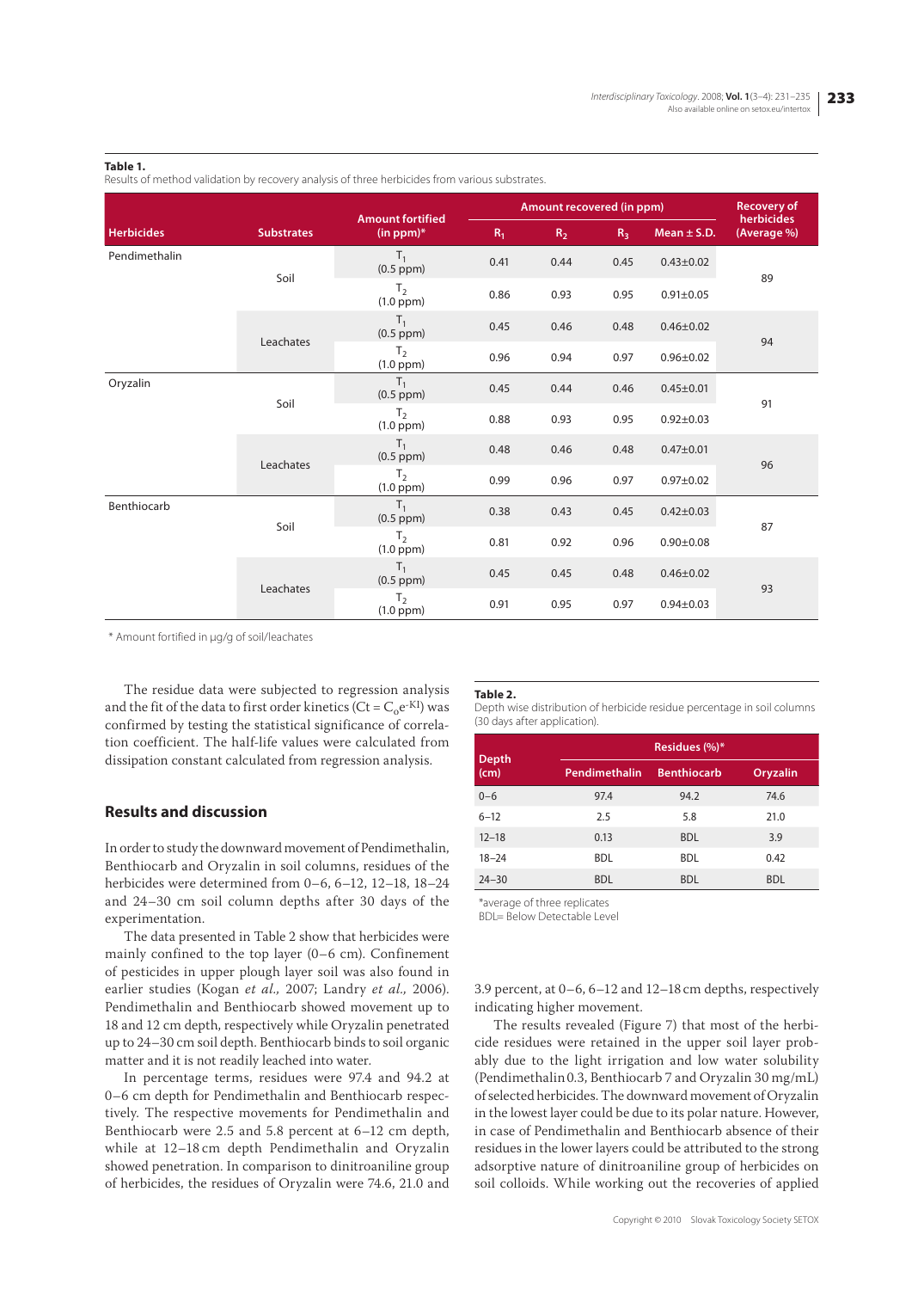#### **Table 1.**

Results of method validation by recovery analysis of three herbicides from various substrates.

|                   |                   | <b>Amount fortified</b>          | Amount recovered (in ppm) |       |                |                 | <b>Recovery of</b>        |
|-------------------|-------------------|----------------------------------|---------------------------|-------|----------------|-----------------|---------------------------|
| <b>Herbicides</b> | <b>Substrates</b> | $(in ppm)*$                      | $R_1$                     | $R_2$ | R <sub>3</sub> | Mean $\pm$ S.D. | herbicides<br>(Average %) |
| Pendimethalin     | Soil              | $T_1$<br>$(0.5$ ppm $)$          | 0.41                      | 0.44  | 0.45           | $0.43 \pm 0.02$ | 89                        |
|                   |                   | T <sub>2</sub><br>$(1.0$ ppm $)$ | 0.86                      | 0.93  | 0.95           | $0.91 \pm 0.05$ |                           |
|                   | Leachates         | $T_1$<br>$(0.5$ ppm $)$          | 0.45                      | 0.46  | 0.48           | $0.46 + 0.02$   | 94                        |
|                   |                   | T <sub>2</sub><br>$(1.0$ ppm $)$ | 0.96                      | 0.94  | 0.97           | $0.96 \pm 0.02$ |                           |
| Oryzalin          | Soil              | T <sub>1</sub><br>$(0.5$ ppm $)$ | 0.45                      | 0.44  | 0.46           | $0.45 \pm 0.01$ | 91                        |
|                   |                   | T <sub>2</sub><br>$(1.0$ ppm $)$ | 0.88                      | 0.93  | 0.95           | $0.92 + 0.03$   |                           |
|                   | Leachates         | T <sub>1</sub><br>$(0.5$ ppm $)$ | 0.48                      | 0.46  | 0.48           | $0.47 + 0.01$   | 96                        |
|                   |                   | T <sub>2</sub><br>$(1.0$ ppm $)$ | 0.99                      | 0.96  | 0.97           | $0.97 + 0.02$   |                           |
| Benthiocarb       | Soil              | $T_1$<br>$(0.5$ ppm $)$          | 0.38                      | 0.43  | 0.45           | $0.42 \pm 0.03$ | 87                        |
|                   |                   | T <sub>2</sub><br>$(1.0$ ppm $)$ | 0.81                      | 0.92  | 0.96           | $0.90 + 0.08$   |                           |
|                   | Leachates         | T <sub>1</sub><br>$(0.5$ ppm $)$ | 0.45                      | 0.45  | 0.48           | $0.46 \pm 0.02$ | 93                        |
|                   |                   | T <sub>2</sub><br>$(1.0$ ppm $)$ | 0.91                      | 0.95  | 0.97           | $0.94 \pm 0.03$ |                           |

\* Amount fortified in μg/g of soil/leachates

The residue data were subjected to regression analysis and the fit of the data to first order kinetics (Ct =  $C_0e^{-KI}$ ) was confirmed by testing the statistical significance of correlation coefficient. The half-life values were calculated from dissipation constant calculated from regression analysis.

# **Results and discussion**

In order to study the downward movement of Pendimethalin, Benthiocarb and Oryzalin in soil columns, residues of the herbicides were determined from 0–6, 6–12, 12–18, 18–24 and 24–30 cm soil column depths after 30 days of the experimentation.

The data presented in Table 2 show that herbicides were mainly confined to the top layer (0–6 cm). Confinement of pesticides in upper plough layer soil was also found in earlier studies (Kogan *et al.,* 2007; Landry *et al.,* 2006). Pendimethalin and Benthiocarb showed movement up to 18 and 12 cm depth, respectively while Oryzalin penetrated up to 24–30 cm soil depth. Benthiocarb binds to soil organic matter and it is not readily leached into water.

In percentage terms, residues were 97.4 and 94.2 at 0–6 cm depth for Pendimethalin and Benthiocarb respectively. The respective movements for Pendimethalin and Benthiocarb were 2.5 and 5.8 percent at 6–12 cm depth, while at 12–18 cm depth Pendimethalin and Oryzalin showed penetration. In comparison to dinitroaniline group of herbicides, the residues of Oryzalin were 74.6, 21.0 and

#### **Table 2.**

Depth wise distribution of herbicide residue percentage in soil columns (30 days after application).

|                      | Residues (%)* |                    |            |  |  |  |  |
|----------------------|---------------|--------------------|------------|--|--|--|--|
| <b>Depth</b><br>(cm) | Pendimethalin | <b>Benthiocarb</b> | Oryzalin   |  |  |  |  |
| $0 - 6$              | 97.4          | 94.2               | 74.6       |  |  |  |  |
| $6 - 12$             | 2.5           | 5.8                | 21.0       |  |  |  |  |
| $12 - 18$            | 0.13          | <b>BDL</b>         | 3.9        |  |  |  |  |
| $18 - 24$            | <b>BDL</b>    | <b>BDL</b>         | 0.42       |  |  |  |  |
| $24 - 30$            | <b>BDL</b>    | <b>BDL</b>         | <b>BDL</b> |  |  |  |  |

\*average of three replicates

BDL= Below Detectable Level

3.9 percent, at 0–6, 6–12 and 12–18 cm depths, respectively indicating higher movement.

The results revealed (Figure 7) that most of the herbicide residues were retained in the upper soil layer probably due to the light irrigation and low water solubility (Pendimethalin0.3, Benthiocarb 7 and Oryzalin 30 mg/mL) of selected herbicides. The downward movement of Oryzalin in the lowest layer could be due to its polar nature. However, in case of Pendimethalin and Benthiocarb absence of their residues in the lower layers could be attributed to the strong adsorptive nature of dinitroaniline group of herbicides on soil colloids. While working out the recoveries of applied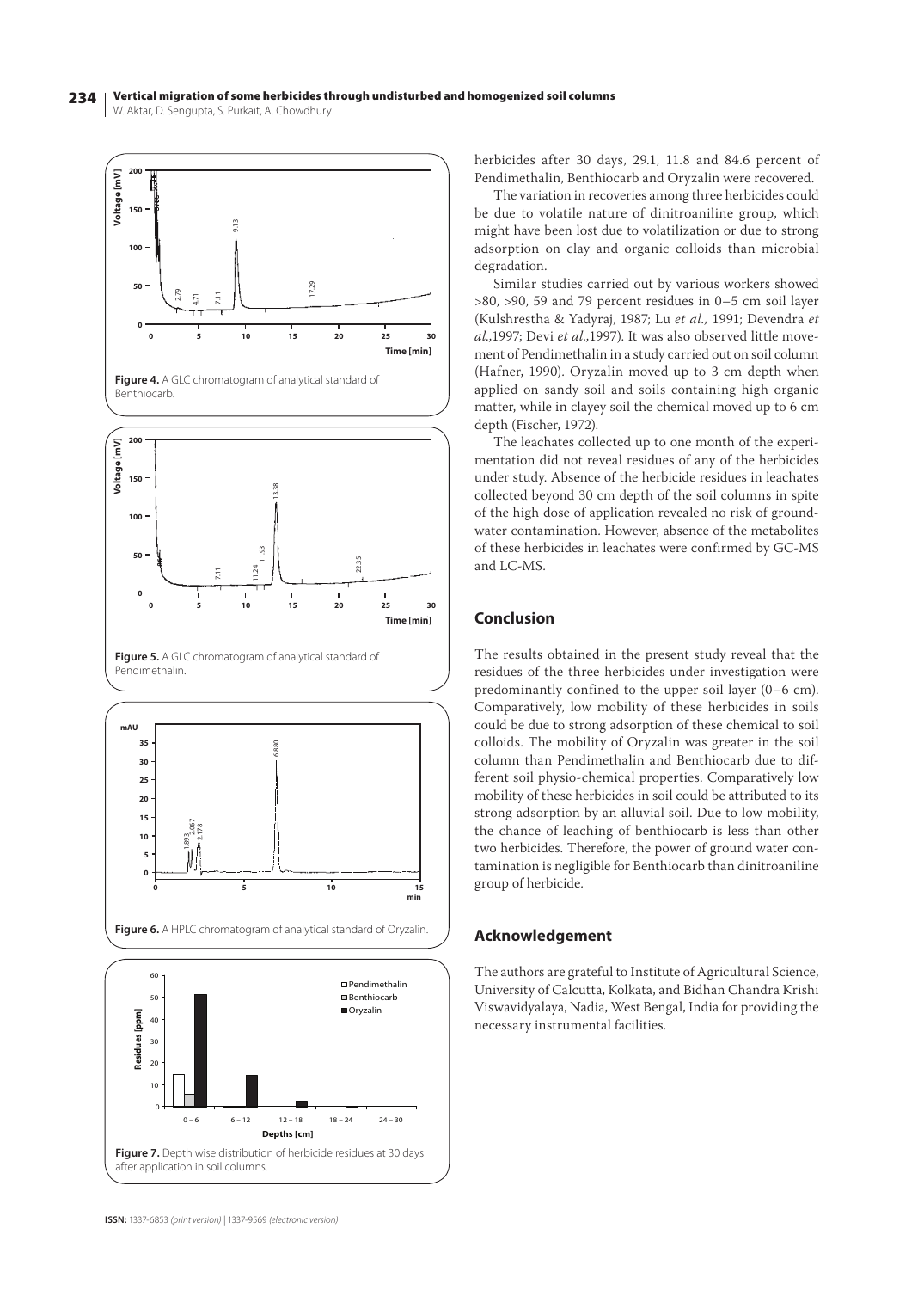#### 234 W. Aktar, D. Sengupta, S. Purkait, A. Chowdhury Vertical migration of some herbicides through undisturbed and homogenized soil columns



herbicides after 30 days, 29.1, 11.8 and 84.6 percent of Pendimethalin, Benthiocarb and Oryzalin were recovered.

The variation in recoveries among three herbicides could be due to volatile nature of dinitroaniline group, which might have been lost due to volatilization or due to strong adsorption on clay and organic colloids than microbial degradation.

Similar studies carried out by various workers showed >80, >90, 59 and 79 percent residues in 0–5 cm soil layer (Kulshrestha & Yadyraj, 1987; Lu *et al.,* 1991; Devendra *et al.,*1997; Devi *et al.,*1997). It was also observed little movement of Pendimethalin in a study carried out on soil column (Hafner, 1990). Oryzalin moved up to 3 cm depth when applied on sandy soil and soils containing high organic matter, while in clayey soil the chemical moved up to 6 cm depth (Fischer, 1972).

The leachates collected up to one month of the experimentation did not reveal residues of any of the herbicides under study. Absence of the herbicide residues in leachates collected beyond 30 cm depth of the soil columns in spite of the high dose of application revealed no risk of groundwater contamination. However, absence of the metabolites of these herbicides in leachates were confirmed by GC-MS and LC-MS.

# **Conclusion**

The results obtained in the present study reveal that the residues of the three herbicides under investigation were predominantly confined to the upper soil layer (0–6 cm). Comparatively, low mobility of these herbicides in soils could be due to strong adsorption of these chemical to soil colloids. The mobility of Oryzalin was greater in the soil column than Pendimethalin and Benthiocarb due to different soil physio-chemical properties. Comparatively low mobility of these herbicides in soil could be attributed to its strong adsorption by an alluvial soil. Due to low mobility, the chance of leaching of benthiocarb is less than other two herbicides. Therefore, the power of ground water contamination is negligible for Benthiocarb than dinitroaniline group of herbicide.

# **Acknowledgement**

The authors are grateful to Institute of Agricultural Science, University of Calcutta, Kolkata, and Bidhan Chandra Krishi Viswavidyalaya, Nadia, West Bengal, India for providing the necessary instrumental facilities.